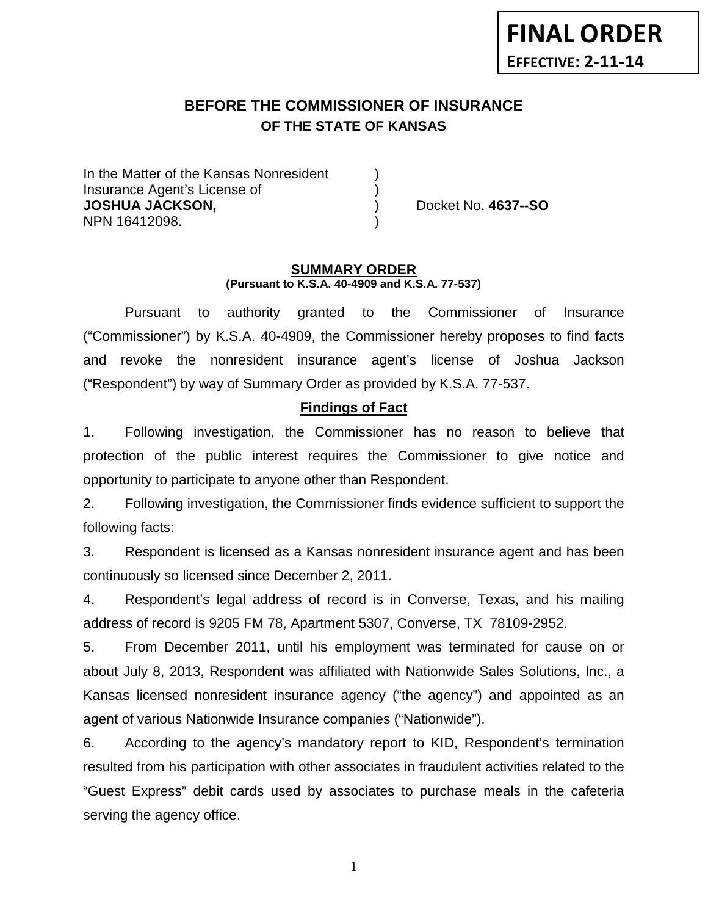# **BEFORE THE COMMISSIONER OF INSURANCE OF THE STATE OF KANSAS**

In the Matter of the Kansas Nonresident Insurance Agent's License of ) **JOSHUA JACKSON,** ) Docket No. **4637--SO** NPN 16412098. )

#### **SUMMARY ORDER (Pursuant to K.S.A. 40-4909 and K.S.A. 77-537)**

Pursuant to authority granted to the Commissioner of Insurance ("Commissioner") by K.S.A. 40-4909, the Commissioner hereby proposes to find facts and revoke the nonresident insurance agent's license of Joshua Jackson ("Respondent") by way of Summary Order as provided by K.S.A. 77-537.

### **Findings of Fact**

1. Following investigation, the Commissioner has no reason to believe that protection of the public interest requires the Commissioner to give notice and opportunity to participate to anyone other than Respondent.

2. Following investigation, the Commissioner finds evidence sufficient to support the following facts:

3. Respondent is licensed as a Kansas nonresident insurance agent and has been continuously so licensed since December 2, 2011.

4. Respondent's legal address of record is in Converse, Texas, and his mailing address of record is 9205 FM 78, Apartment 5307, Converse, TX 78109-2952.

5. From December 2011, until his employment was terminated for cause on or about July 8, 2013, Respondent was affiliated with Nationwide Sales Solutions, Inc., a Kansas licensed nonresident insurance agency ("the agency") and appointed as an agent of various Nationwide Insurance companies ("Nationwide").

6. According to the agency's mandatory report to KID, Respondent's termination resulted from his participation with other associates in fraudulent activities related to the "Guest Express" debit cards used by associates to purchase meals in the cafeteria serving the agency office.

1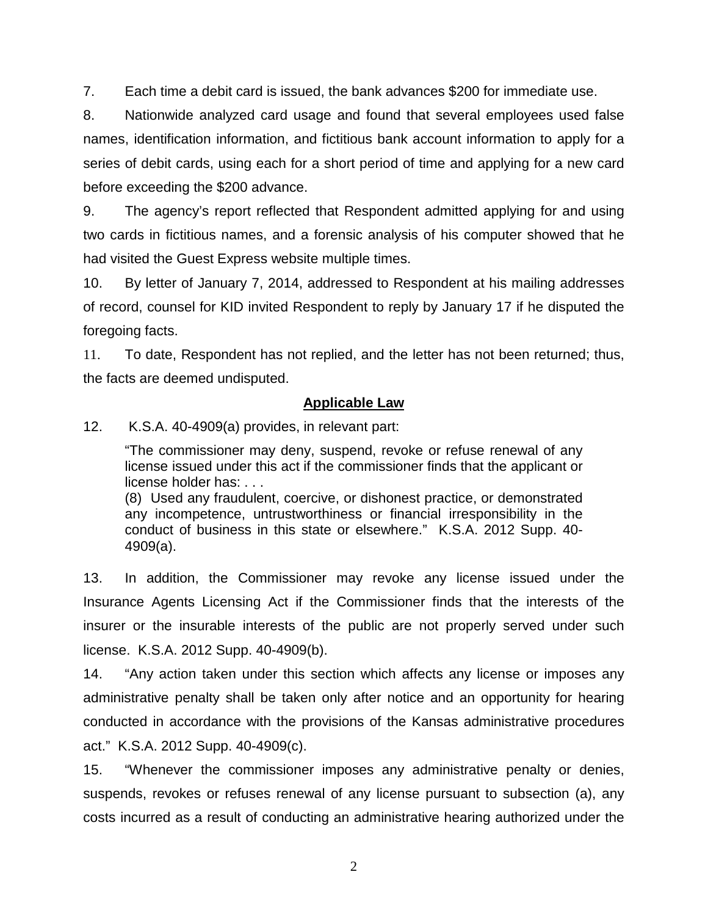7. Each time a debit card is issued, the bank advances \$200 for immediate use.

8. Nationwide analyzed card usage and found that several employees used false names, identification information, and fictitious bank account information to apply for a series of debit cards, using each for a short period of time and applying for a new card before exceeding the \$200 advance.

9. The agency's report reflected that Respondent admitted applying for and using two cards in fictitious names, and a forensic analysis of his computer showed that he had visited the Guest Express website multiple times.

10. By letter of January 7, 2014, addressed to Respondent at his mailing addresses of record, counsel for KID invited Respondent to reply by January 17 if he disputed the foregoing facts.

11. To date, Respondent has not replied, and the letter has not been returned; thus, the facts are deemed undisputed.

### **Applicable Law**

12. K.S.A. 40-4909(a) provides, in relevant part:

"The commissioner may deny, suspend, revoke or refuse renewal of any license issued under this act if the commissioner finds that the applicant or license holder has: . . .

(8) Used any fraudulent, coercive, or dishonest practice, or demonstrated any incompetence, untrustworthiness or financial irresponsibility in the conduct of business in this state or elsewhere." K.S.A. 2012 Supp. 40- 4909(a).

13. In addition, the Commissioner may revoke any license issued under the Insurance Agents Licensing Act if the Commissioner finds that the interests of the insurer or the insurable interests of the public are not properly served under such license. K.S.A. 2012 Supp. 40-4909(b).

14. "Any action taken under this section which affects any license or imposes any administrative penalty shall be taken only after notice and an opportunity for hearing conducted in accordance with the provisions of the Kansas administrative procedures act." K.S.A. 2012 Supp. 40-4909(c).

15. "Whenever the commissioner imposes any administrative penalty or denies, suspends, revokes or refuses renewal of any license pursuant to subsection (a), any costs incurred as a result of conducting an administrative hearing authorized under the

2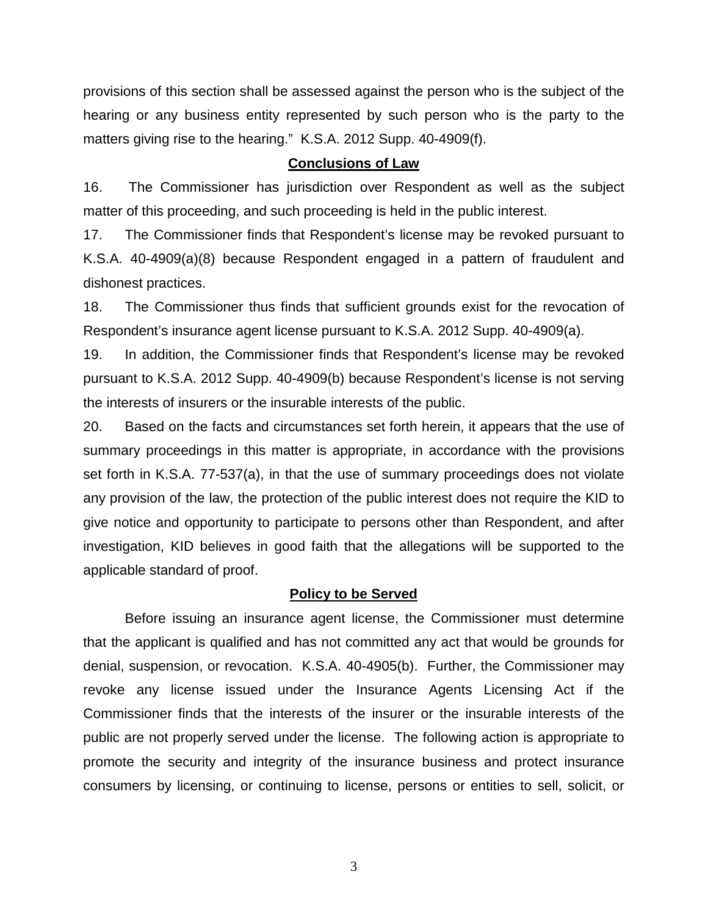provisions of this section shall be assessed against the person who is the subject of the hearing or any business entity represented by such person who is the party to the matters giving rise to the hearing." K.S.A. 2012 Supp. 40-4909(f).

#### **Conclusions of Law**

16. The Commissioner has jurisdiction over Respondent as well as the subject matter of this proceeding, and such proceeding is held in the public interest.

17. The Commissioner finds that Respondent's license may be revoked pursuant to K.S.A. 40-4909(a)(8) because Respondent engaged in a pattern of fraudulent and dishonest practices.

18. The Commissioner thus finds that sufficient grounds exist for the revocation of Respondent's insurance agent license pursuant to K.S.A. 2012 Supp. 40-4909(a).

19. In addition, the Commissioner finds that Respondent's license may be revoked pursuant to K.S.A. 2012 Supp. 40-4909(b) because Respondent's license is not serving the interests of insurers or the insurable interests of the public.

20. Based on the facts and circumstances set forth herein, it appears that the use of summary proceedings in this matter is appropriate, in accordance with the provisions set forth in K.S.A. 77-537(a), in that the use of summary proceedings does not violate any provision of the law, the protection of the public interest does not require the KID to give notice and opportunity to participate to persons other than Respondent, and after investigation, KID believes in good faith that the allegations will be supported to the applicable standard of proof.

### **Policy to be Served**

Before issuing an insurance agent license, the Commissioner must determine that the applicant is qualified and has not committed any act that would be grounds for denial, suspension, or revocation. K.S.A. 40-4905(b). Further, the Commissioner may revoke any license issued under the Insurance Agents Licensing Act if the Commissioner finds that the interests of the insurer or the insurable interests of the public are not properly served under the license. The following action is appropriate to promote the security and integrity of the insurance business and protect insurance consumers by licensing, or continuing to license, persons or entities to sell, solicit, or

3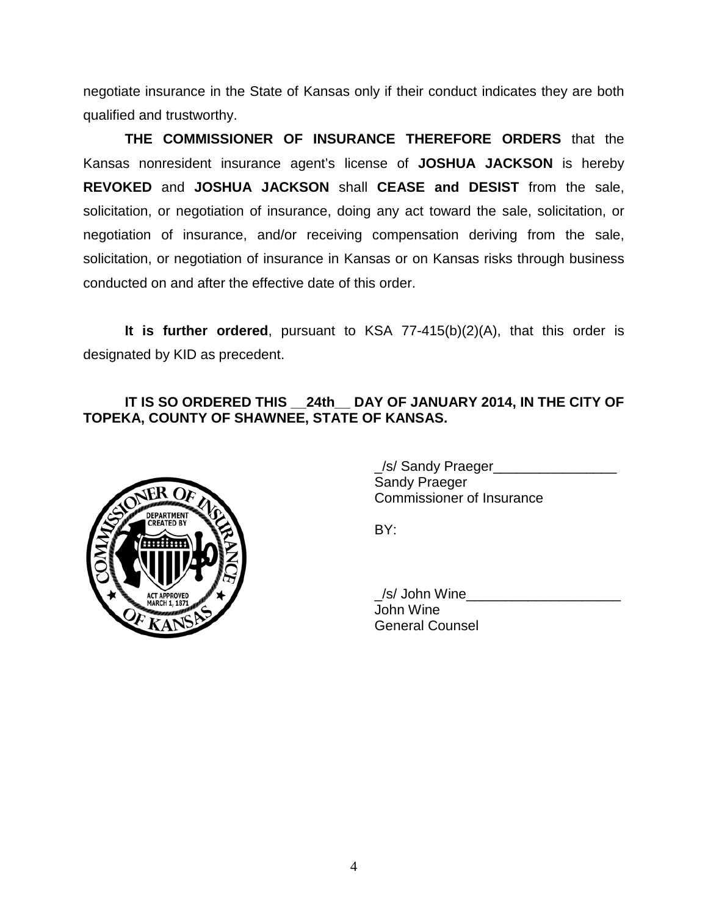negotiate insurance in the State of Kansas only if their conduct indicates they are both qualified and trustworthy.

**THE COMMISSIONER OF INSURANCE THEREFORE ORDERS** that the Kansas nonresident insurance agent's license of **JOSHUA JACKSON** is hereby **REVOKED** and **JOSHUA JACKSON** shall **CEASE and DESIST** from the sale, solicitation, or negotiation of insurance, doing any act toward the sale, solicitation, or negotiation of insurance, and/or receiving compensation deriving from the sale, solicitation, or negotiation of insurance in Kansas or on Kansas risks through business conducted on and after the effective date of this order.

**It is further ordered**, pursuant to KSA 77-415(b)(2)(A), that this order is designated by KID as precedent.

## **IT IS SO ORDERED THIS \_\_24th\_\_ DAY OF JANUARY 2014, IN THE CITY OF TOPEKA, COUNTY OF SHAWNEE, STATE OF KANSAS.**



/s/ Sandy Praeger Sandy Praeger Commissioner of Insurance

BY:

\_/s/ John Wine\_\_\_\_\_\_\_\_\_\_\_\_\_\_\_\_\_\_\_\_ John Wine General Counsel